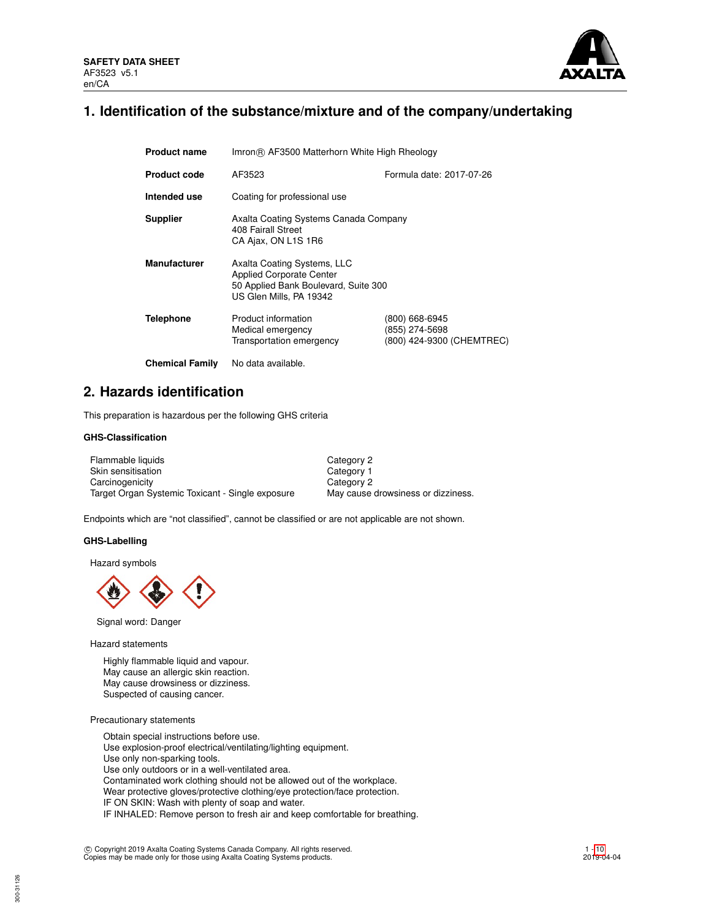

## **1. Identification of the substance/mixture and of the company/undertaking**

| <b>Product name</b>    | Imron® AF3500 Matterhorn White High Rheology                                                                                      |                                                               |  |  |  |
|------------------------|-----------------------------------------------------------------------------------------------------------------------------------|---------------------------------------------------------------|--|--|--|
| <b>Product code</b>    | Formula date: 2017-07-26<br>AF3523                                                                                                |                                                               |  |  |  |
| Intended use           | Coating for professional use                                                                                                      |                                                               |  |  |  |
| <b>Supplier</b>        | Axalta Coating Systems Canada Company<br>408 Fairall Street<br>CA Ajax, ON L1S 1R6                                                |                                                               |  |  |  |
| <b>Manufacturer</b>    | Axalta Coating Systems, LLC<br><b>Applied Corporate Center</b><br>50 Applied Bank Boulevard, Suite 300<br>US Glen Mills, PA 19342 |                                                               |  |  |  |
| Telephone              | Product information<br>Medical emergency<br>Transportation emergency                                                              | (800) 668-6945<br>(855) 274-5698<br>(800) 424-9300 (CHEMTREC) |  |  |  |
| <b>Chemical Family</b> | No data available.                                                                                                                |                                                               |  |  |  |

## **2. Hazards identification**

This preparation is hazardous per the following GHS criteria

### **GHS-Classification**

| Flammable liquids                                | Category 2                         |
|--------------------------------------------------|------------------------------------|
| Skin sensitisation                               | Category 1                         |
| Carcinogenicity                                  | Category 2                         |
| Target Organ Systemic Toxicant - Single exposure | May cause drowsiness or dizziness. |

Endpoints which are "not classified", cannot be classified or are not applicable are not shown.

#### **GHS-Labelling**

Hazard symbols



Signal word: Danger

Hazard statements

Highly flammable liquid and vapour. May cause an allergic skin reaction. May cause drowsiness or dizziness. Suspected of causing cancer.

Precautionary statements

300-31126

Obtain special instructions before use. Use explosion-proof electrical/ventilating/lighting equipment. Use only non-sparking tools. Use only outdoors or in a well-ventilated area. Contaminated work clothing should not be allowed out of the workplace. Wear protective gloves/protective clothing/eye protection/face protection. IF ON SKIN: Wash with plenty of soap and water. IF INHALED: Remove person to fresh air and keep comfortable for breathing.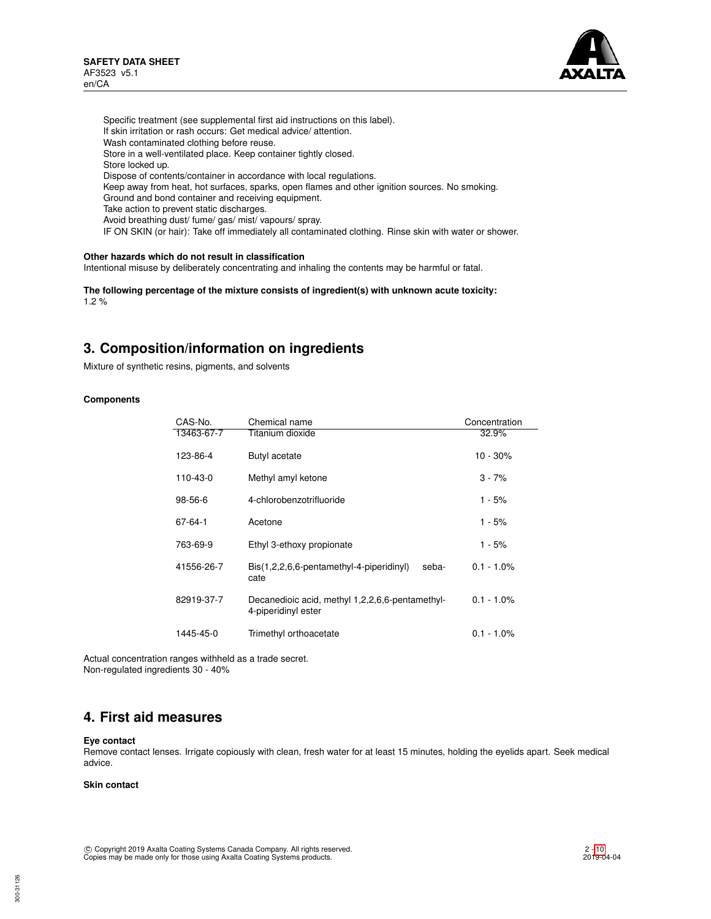

Specific treatment (see supplemental first aid instructions on this label). If skin irritation or rash occurs: Get medical advice/ attention. Wash contaminated clothing before reuse. Store in a well-ventilated place. Keep container tightly closed. Store locked up. Dispose of contents/container in accordance with local regulations. Keep away from heat, hot surfaces, sparks, open flames and other ignition sources. No smoking. Ground and bond container and receiving equipment. Take action to prevent static discharges. Avoid breathing dust/ fume/ gas/ mist/ vapours/ spray. IF ON SKIN (or hair): Take off immediately all contaminated clothing. Rinse skin with water or shower.

## **Other hazards which do not result in classification**

Intentional misuse by deliberately concentrating and inhaling the contents may be harmful or fatal.

**The following percentage of the mixture consists of ingredient(s) with unknown acute toxicity:** 1.2 %

## **3. Composition/information on ingredients**

Mixture of synthetic resins, pigments, and solvents

### **Components**

| CAS-No.       | Chemical name                                                             | Concentration |
|---------------|---------------------------------------------------------------------------|---------------|
| 13463-67-7    | Titanium dioxide                                                          | 32.9%         |
| 123-86-4      | Butyl acetate                                                             | $10 - 30%$    |
| 110-43-0      | Methyl amyl ketone                                                        | $3 - 7%$      |
| $98 - 56 - 6$ | 4-chlorobenzotrifluoride                                                  | 1 - 5%        |
| 67-64-1       | Acetone                                                                   | 1 - 5%        |
| 763-69-9      | Ethyl 3-ethoxy propionate                                                 | 1 - 5%        |
| 41556-26-7    | $\text{Bis}(1,2,2,6,6\text{-}pentamethyl-4-piperidinyl)$<br>seba-<br>cate | $0.1 - 1.0\%$ |
| 82919-37-7    | Decanedioic acid, methyl 1,2,2,6,6-pentamethyl-<br>4-piperidinyl ester    | $0.1 - 1.0\%$ |
| 1445-45-0     | Trimethyl orthoacetate                                                    | $0.1 - 1.0\%$ |

Actual concentration ranges withheld as a trade secret. Non-regulated ingredients 30 - 40%

# **4. First aid measures**

#### **Eye contact**

Remove contact lenses. Irrigate copiously with clean, fresh water for at least 15 minutes, holding the eyelids apart. Seek medical advice.

## **Skin contact**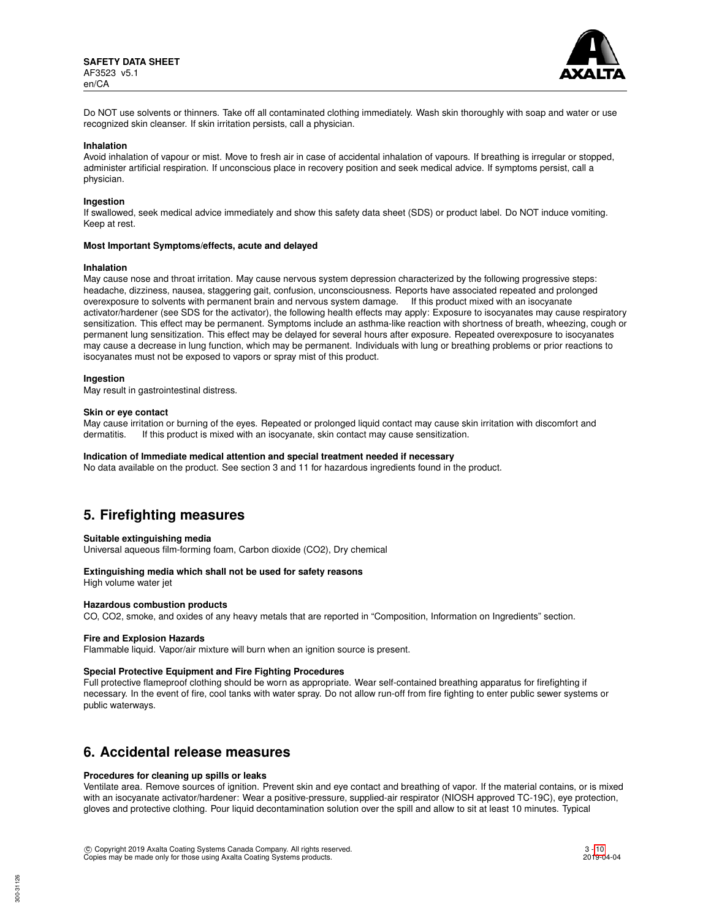

Do NOT use solvents or thinners. Take off all contaminated clothing immediately. Wash skin thoroughly with soap and water or use recognized skin cleanser. If skin irritation persists, call a physician.

#### **Inhalation**

Avoid inhalation of vapour or mist. Move to fresh air in case of accidental inhalation of vapours. If breathing is irregular or stopped, administer artificial respiration. If unconscious place in recovery position and seek medical advice. If symptoms persist, call a physician.

#### **Ingestion**

If swallowed, seek medical advice immediately and show this safety data sheet (SDS) or product label. Do NOT induce vomiting. Keep at rest.

#### **Most Important Symptoms/effects, acute and delayed**

#### **Inhalation**

May cause nose and throat irritation. May cause nervous system depression characterized by the following progressive steps: headache, dizziness, nausea, staggering gait, confusion, unconsciousness. Reports have associated repeated and prolonged overexposure to solvents with permanent brain and nervous system damage. If this product mixed with an isocyanate activator/hardener (see SDS for the activator), the following health effects may apply: Exposure to isocyanates may cause respiratory sensitization. This effect may be permanent. Symptoms include an asthma-like reaction with shortness of breath, wheezing, cough or permanent lung sensitization. This effect may be delayed for several hours after exposure. Repeated overexposure to isocyanates may cause a decrease in lung function, which may be permanent. Individuals with lung or breathing problems or prior reactions to isocyanates must not be exposed to vapors or spray mist of this product.

#### **Ingestion**

May result in gastrointestinal distress.

#### **Skin or eye contact**

May cause irritation or burning of the eyes. Repeated or prolonged liquid contact may cause skin irritation with discomfort and dermatitis. If this product is mixed with an isocyanate, skin contact may cause sensitization.

#### **Indication of Immediate medical attention and special treatment needed if necessary**

No data available on the product. See section 3 and 11 for hazardous ingredients found in the product.

## **5. Firefighting measures**

#### **Suitable extinguishing media**

Universal aqueous film-forming foam, Carbon dioxide (CO2), Dry chemical

## **Extinguishing media which shall not be used for safety reasons**

High volume water jet

## **Hazardous combustion products**

CO, CO2, smoke, and oxides of any heavy metals that are reported in "Composition, Information on Ingredients" section.

#### **Fire and Explosion Hazards**

Flammable liquid. Vapor/air mixture will burn when an ignition source is present.

#### **Special Protective Equipment and Fire Fighting Procedures**

Full protective flameproof clothing should be worn as appropriate. Wear self-contained breathing apparatus for firefighting if necessary. In the event of fire, cool tanks with water spray. Do not allow run-off from fire fighting to enter public sewer systems or public waterways.

## **6. Accidental release measures**

#### **Procedures for cleaning up spills or leaks**

Ventilate area. Remove sources of ignition. Prevent skin and eye contact and breathing of vapor. If the material contains, or is mixed with an isocyanate activator/hardener: Wear a positive-pressure, supplied-air respirator (NIOSH approved TC-19C), eye protection, gloves and protective clothing. Pour liquid decontamination solution over the spill and allow to sit at least 10 minutes. Typical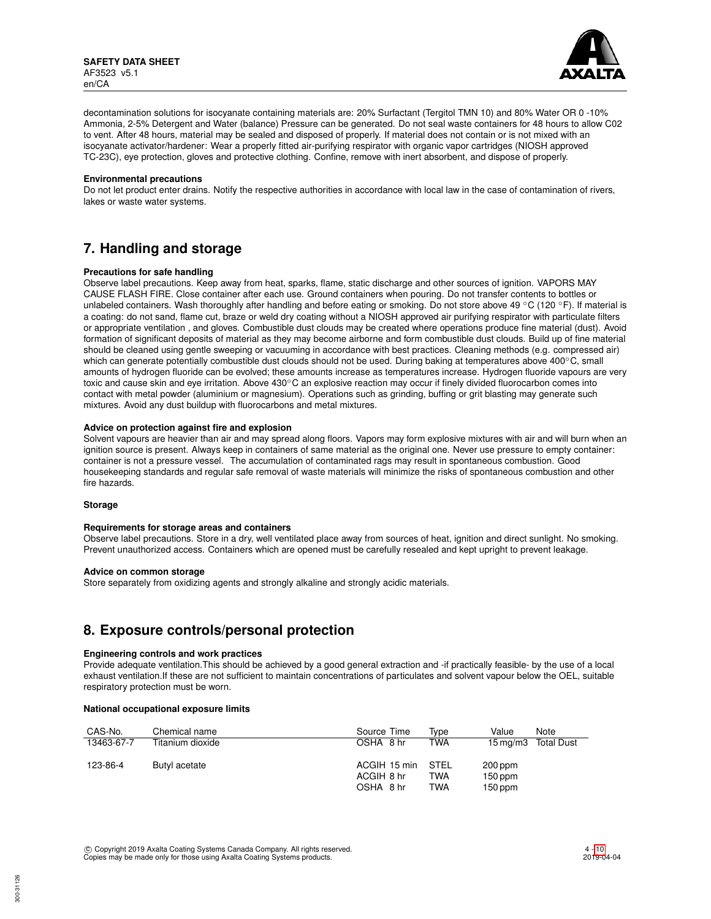

decontamination solutions for isocyanate containing materials are: 20% Surfactant (Tergitol TMN 10) and 80% Water OR 0 -10% Ammonia, 2-5% Detergent and Water (balance) Pressure can be generated. Do not seal waste containers for 48 hours to allow C02 to vent. After 48 hours, material may be sealed and disposed of properly. If material does not contain or is not mixed with an isocyanate activator/hardener: Wear a properly fitted air-purifying respirator with organic vapor cartridges (NIOSH approved TC-23C), eye protection, gloves and protective clothing. Confine, remove with inert absorbent, and dispose of properly.

#### **Environmental precautions**

Do not let product enter drains. Notify the respective authorities in accordance with local law in the case of contamination of rivers, lakes or waste water systems.

# **7. Handling and storage**

## **Precautions for safe handling**

Observe label precautions. Keep away from heat, sparks, flame, static discharge and other sources of ignition. VAPORS MAY CAUSE FLASH FIRE. Close container after each use. Ground containers when pouring. Do not transfer contents to bottles or unlabeled containers. Wash thoroughly after handling and before eating or smoking. Do not store above 49 °C (120 °F). If material is a coating: do not sand, flame cut, braze or weld dry coating without a NIOSH approved air purifying respirator with particulate filters or appropriate ventilation , and gloves. Combustible dust clouds may be created where operations produce fine material (dust). Avoid formation of significant deposits of material as they may become airborne and form combustible dust clouds. Build up of fine material should be cleaned using gentle sweeping or vacuuming in accordance with best practices. Cleaning methods (e.g. compressed air) which can generate potentially combustible dust clouds should not be used. During baking at temperatures above 400℃, small amounts of hydrogen fluoride can be evolved; these amounts increase as temperatures increase. Hydrogen fluoride vapours are very toxic and cause skin and eye irritation. Above 430℃ an explosive reaction may occur if finely divided fluorocarbon comes into contact with metal powder (aluminium or magnesium). Operations such as grinding, buffing or grit blasting may generate such mixtures. Avoid any dust buildup with fluorocarbons and metal mixtures.

## **Advice on protection against fire and explosion**

Solvent vapours are heavier than air and may spread along floors. Vapors may form explosive mixtures with air and will burn when an ignition source is present. Always keep in containers of same material as the original one. Never use pressure to empty container: container is not a pressure vessel. The accumulation of contaminated rags may result in spontaneous combustion. Good housekeeping standards and regular safe removal of waste materials will minimize the risks of spontaneous combustion and other fire hazards.

#### **Storage**

#### **Requirements for storage areas and containers**

Observe label precautions. Store in a dry, well ventilated place away from sources of heat, ignition and direct sunlight. No smoking. Prevent unauthorized access. Containers which are opened must be carefully resealed and kept upright to prevent leakage.

#### **Advice on common storage**

Store separately from oxidizing agents and strongly alkaline and strongly acidic materials.

# **8. Exposure controls/personal protection**

#### **Engineering controls and work practices**

Provide adequate ventilation.This should be achieved by a good general extraction and -if practically feasible- by the use of a local exhaust ventilation.If these are not sufficient to maintain concentrations of particulates and solvent vapour below the OEL, suitable respiratory protection must be worn.

## **National occupational exposure limits**

| CAS-No.    | Chemical name    | Source Time  | Tvpe       | Value     | Note                |
|------------|------------------|--------------|------------|-----------|---------------------|
| 13463-67-7 | Titanium dioxide | OSHA 8 hr    | <b>TWA</b> |           | 15 mg/m3 Total Dust |
| 123-86-4   | Butyl acetate    | ACGIH 15 min | STEL       | 200 ppm   |                     |
|            |                  | ACGIH 8 hr   | TWA        | $150$ ppm |                     |
|            |                  | OSHA 8 hr    | TWA        | $150$ ppm |                     |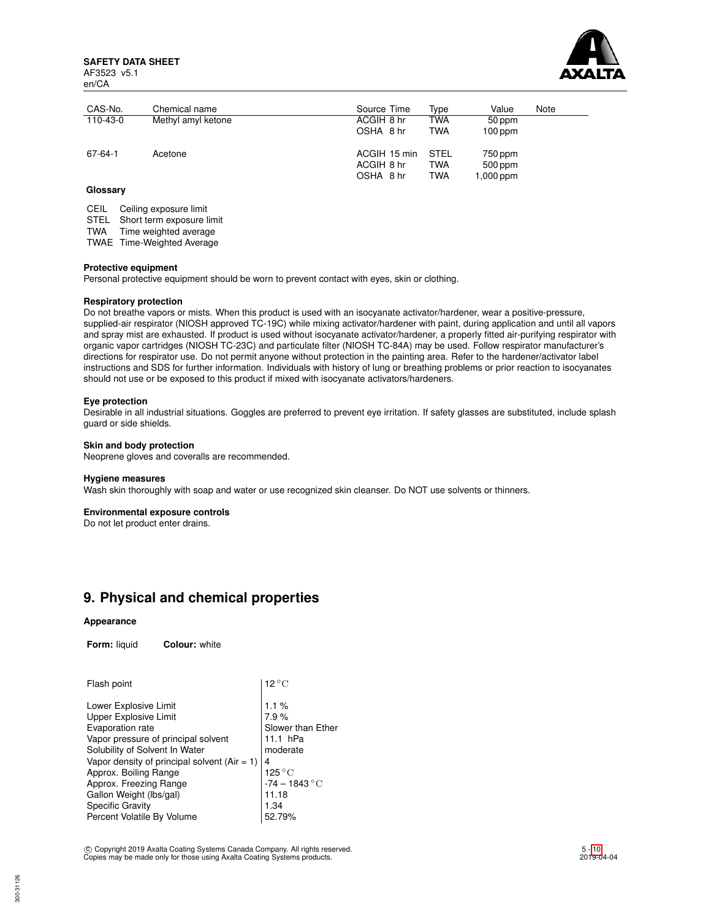**SAFETY DATA SHEET** AF3523 v5.1 en/CA



| CAS-No.  | Chemical name      | Source Time                             | Type                             | Value                           | Note |
|----------|--------------------|-----------------------------------------|----------------------------------|---------------------------------|------|
| 110-43-0 | Methyl amyl ketone | ACGIH 8 hr                              | TWA                              | 50 ppm                          |      |
|          |                    | OSHA 8 hr                               | <b>TWA</b>                       | $100$ ppm                       |      |
| 67-64-1  | Acetone            | ACGIH 15 min<br>ACGIH 8 hr<br>OSHA 8 hr | <b>STEL</b><br>TWA<br><b>TWA</b> | 750 ppm<br>500 ppm<br>1,000 ppm |      |

## **Glossary**

CEIL Ceiling exposure limit

STEL Short term exposure limit

TWA Time weighted average

TWAE Time-Weighted Average

#### **Protective equipment**

Personal protective equipment should be worn to prevent contact with eyes, skin or clothing.

#### **Respiratory protection**

Do not breathe vapors or mists. When this product is used with an isocyanate activator/hardener, wear a positive-pressure, supplied-air respirator (NIOSH approved TC-19C) while mixing activator/hardener with paint, during application and until all vapors and spray mist are exhausted. If product is used without isocyanate activator/hardener, a properly fitted air-purifying respirator with organic vapor cartridges (NIOSH TC-23C) and particulate filter (NIOSH TC-84A) may be used. Follow respirator manufacturer's directions for respirator use. Do not permit anyone without protection in the painting area. Refer to the hardener/activator label instructions and SDS for further information. Individuals with history of lung or breathing problems or prior reaction to isocyanates should not use or be exposed to this product if mixed with isocyanate activators/hardeners.

#### **Eye protection**

Desirable in all industrial situations. Goggles are preferred to prevent eye irritation. If safety glasses are substituted, include splash guard or side shields.

## **Skin and body protection**

Neoprene gloves and coveralls are recommended.

### **Hygiene measures**

Wash skin thoroughly with soap and water or use recognized skin cleanser. Do NOT use solvents or thinners.

#### **Environmental exposure controls**

Do not let product enter drains.

## **9. Physical and chemical properties**

### **Appearance**

**Form:** liquid **Colour:** white

| Flash point                                                                                                                                                                                                                                                                   | $12^{\circ}$ C                                                                                     |
|-------------------------------------------------------------------------------------------------------------------------------------------------------------------------------------------------------------------------------------------------------------------------------|----------------------------------------------------------------------------------------------------|
| Lower Explosive Limit<br>Upper Explosive Limit<br>Evaporation rate<br>Vapor pressure of principal solvent<br>Solubility of Solvent In Water<br>Vapor density of principal solvent ( $Air = 1$ )<br>Approx. Boiling Range<br>Approx. Freezing Range<br>Gallon Weight (lbs/gal) | 1.1%<br>7.9%<br>Slower than Ether<br>11.1 hPa<br>moderate<br>4<br>125 °C<br>-74 – 1843 °C<br>11.18 |
| <b>Specific Gravity</b><br>Percent Volatile By Volume                                                                                                                                                                                                                         | 1.34<br>52.79%                                                                                     |
|                                                                                                                                                                                                                                                                               |                                                                                                    |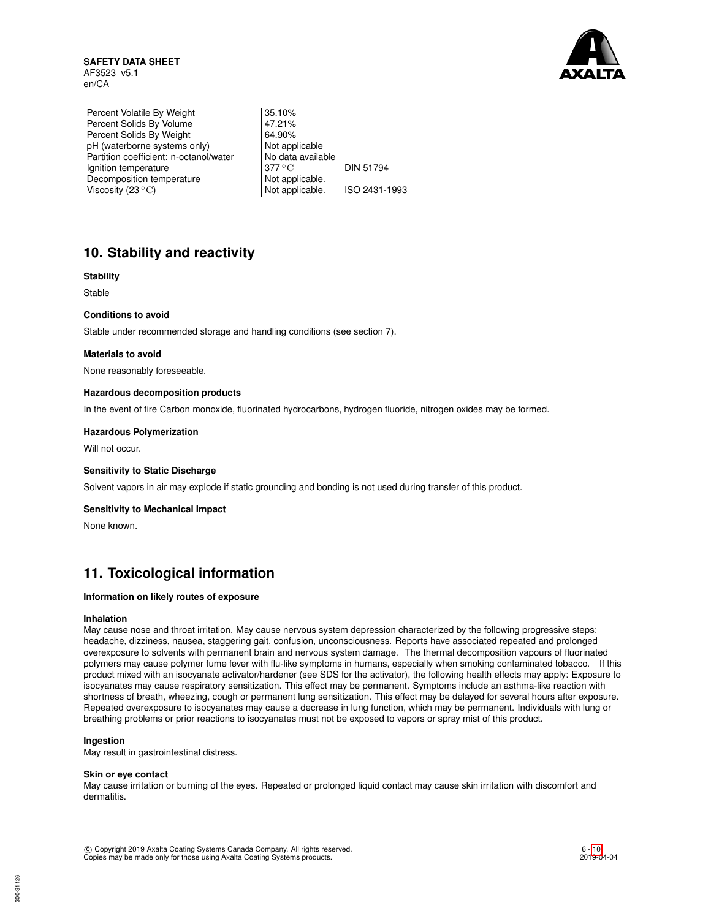

Percent Volatile By Weight | 35.10% Percent Solids By Volume 47.21%<br>Percent Solids By Weight 64.90% Percent Solids By Weight 64.90%<br>
pH (waterborne systems only) Not applicable pH (waterborne systems only) Partition coefficient: n-octanol/water | No data available Ignition temperature 377 °C DIN 51794 Decomposition temperature Not applicable.<br>Viscosity (23 °C) Not applicable. Viscosity  $(23 °C)$  Not applicable. ISO 2431-1993

# **10. Stability and reactivity**

## **Stability**

Stable

## **Conditions to avoid**

Stable under recommended storage and handling conditions (see section 7).

### **Materials to avoid**

None reasonably foreseeable.

### **Hazardous decomposition products**

In the event of fire Carbon monoxide, fluorinated hydrocarbons, hydrogen fluoride, nitrogen oxides may be formed.

### **Hazardous Polymerization**

Will not occur.

#### **Sensitivity to Static Discharge**

Solvent vapors in air may explode if static grounding and bonding is not used during transfer of this product.

#### **Sensitivity to Mechanical Impact**

None known.

# **11. Toxicological information**

## **Information on likely routes of exposure**

#### **Inhalation**

May cause nose and throat irritation. May cause nervous system depression characterized by the following progressive steps: headache, dizziness, nausea, staggering gait, confusion, unconsciousness. Reports have associated repeated and prolonged overexposure to solvents with permanent brain and nervous system damage. The thermal decomposition vapours of fluorinated polymers may cause polymer fume fever with flu-like symptoms in humans, especially when smoking contaminated tobacco. If this product mixed with an isocyanate activator/hardener (see SDS for the activator), the following health effects may apply: Exposure to isocyanates may cause respiratory sensitization. This effect may be permanent. Symptoms include an asthma-like reaction with shortness of breath, wheezing, cough or permanent lung sensitization. This effect may be delayed for several hours after exposure. Repeated overexposure to isocyanates may cause a decrease in lung function, which may be permanent. Individuals with lung or breathing problems or prior reactions to isocyanates must not be exposed to vapors or spray mist of this product.

## **Ingestion**

May result in gastrointestinal distress.

#### **Skin or eye contact**

May cause irritation or burning of the eyes. Repeated or prolonged liquid contact may cause skin irritation with discomfort and dermatitis.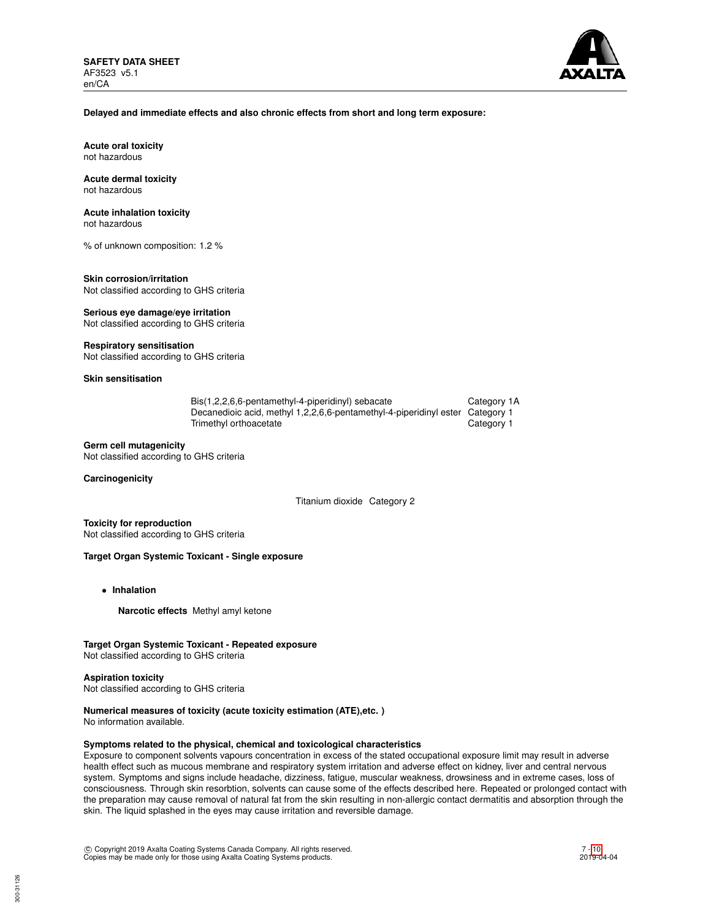

## **Delayed and immediate effects and also chronic effects from short and long term exposure:**

**Acute oral toxicity** not hazardous

#### **Acute dermal toxicity** not hazardous

## **Acute inhalation toxicity**

not hazardous

% of unknown composition: 1.2 %

## **Skin corrosion/irritation**

Not classified according to GHS criteria

## **Serious eye damage/eye irritation** Not classified according to GHS criteria

### **Respiratory sensitisation**

Not classified according to GHS criteria

## **Skin sensitisation**

| Bis(1,2,2,6,6-pentamethyl-4-piperidinyl) sebacate                             | Category 1A |
|-------------------------------------------------------------------------------|-------------|
| Decanedioic acid, methyl 1,2,2,6,6-pentamethyl-4-piperidinyl ester Category 1 |             |
| Trimethyl orthoacetate                                                        | Category 1  |

## **Germ cell mutagenicity**

Not classified according to GHS criteria

## **Carcinogenicity**

Titanium dioxide Category 2

**Toxicity for reproduction** Not classified according to GHS criteria

#### **Target Organ Systemic Toxicant - Single exposure**

- **Inhalation**
	- **Narcotic effects** Methyl amyl ketone

## **Target Organ Systemic Toxicant - Repeated exposure**

Not classified according to GHS criteria

#### **Aspiration toxicity**

Not classified according to GHS criteria

## **Numerical measures of toxicity (acute toxicity estimation (ATE),etc. )**

No information available.

## **Symptoms related to the physical, chemical and toxicological characteristics**

Exposure to component solvents vapours concentration in excess of the stated occupational exposure limit may result in adverse health effect such as mucous membrane and respiratory system irritation and adverse effect on kidney, liver and central nervous system. Symptoms and signs include headache, dizziness, fatigue, muscular weakness, drowsiness and in extreme cases, loss of consciousness. Through skin resorbtion, solvents can cause some of the effects described here. Repeated or prolonged contact with the preparation may cause removal of natural fat from the skin resulting in non-allergic contact dermatitis and absorption through the skin. The liquid splashed in the eyes may cause irritation and reversible damage.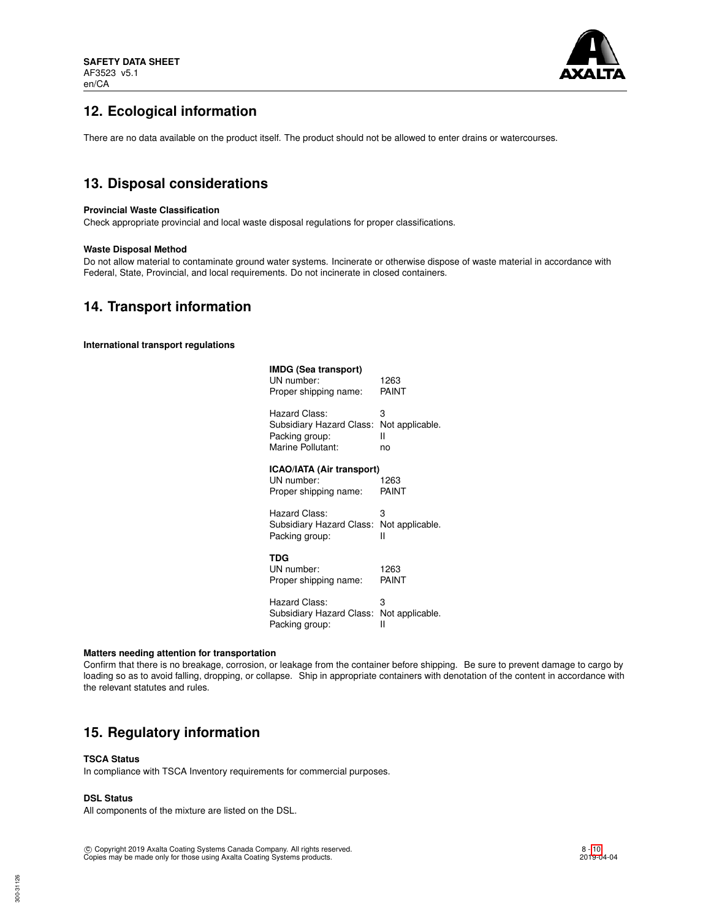

# **12. Ecological information**

There are no data available on the product itself. The product should not be allowed to enter drains or watercourses.

# **13. Disposal considerations**

## **Provincial Waste Classification**

Check appropriate provincial and local waste disposal regulations for proper classifications.

## **Waste Disposal Method**

Do not allow material to contaminate ground water systems. Incinerate or otherwise dispose of waste material in accordance with Federal, State, Provincial, and local requirements. Do not incinerate in closed containers.

## **14. Transport information**

**International transport regulations**

| IMDG (Sea transport)<br>UN number:<br>Proper shipping name:      | 1263<br>PAINT   |
|------------------------------------------------------------------|-----------------|
| Hazard Class:                                                    | 3               |
| Subsidiary Hazard Class:                                         | Not applicable. |
| Packing group:                                                   | н               |
| Marine Pollutant:                                                | no              |
| ICAO/IATA (Air transport)<br>UN number:<br>Proper shipping name: | 1263<br>PAINT   |
| Hazard Class:                                                    | 3               |
| Subsidiary Hazard Class:                                         | Not applicable. |
| Packing group:                                                   | н               |
| TDG<br>UN number:<br>Proper shipping name:                       | 1263<br>PAINT   |
| Hazard Class:                                                    | 3               |
| Subsidiary Hazard Class:                                         | Not applicable. |
| Packing group:                                                   | н               |

#### **Matters needing attention for transportation**

Confirm that there is no breakage, corrosion, or leakage from the container before shipping. Be sure to prevent damage to cargo by loading so as to avoid falling, dropping, or collapse. Ship in appropriate containers with denotation of the content in accordance with the relevant statutes and rules.

# **15. Regulatory information**

## **TSCA Status**

In compliance with TSCA Inventory requirements for commercial purposes.

## **DSL Status**

All components of the mixture are listed on the DSL.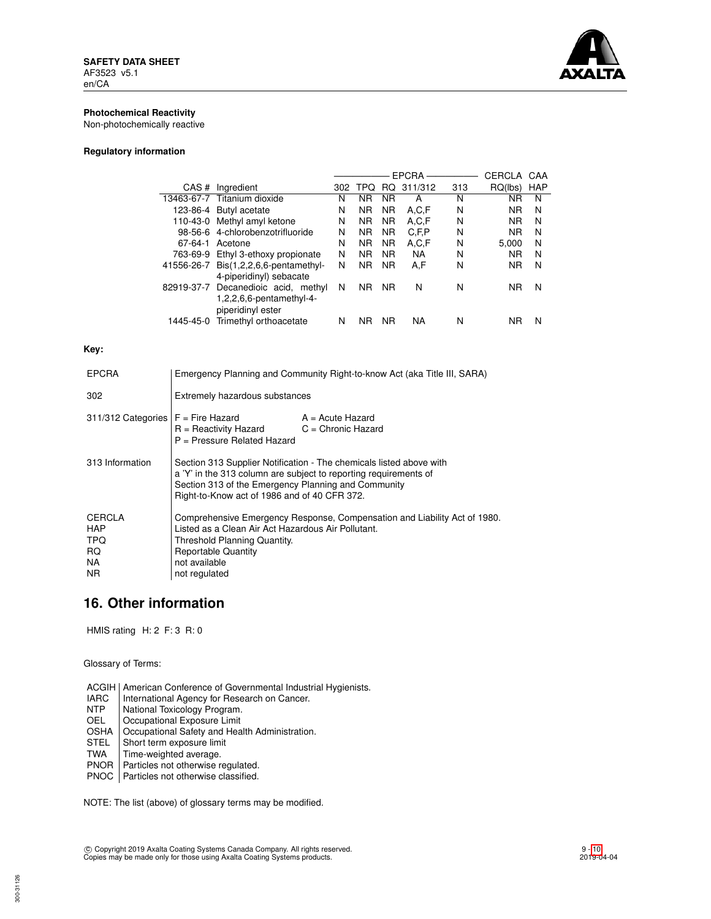

## **Photochemical Reactivity**

Non-photochemically reactive

## **Regulatory information**

|            |                                                                                         |     |                |           | <b>EPCRA</b> |     | CERCLA    | CAA        |
|------------|-----------------------------------------------------------------------------------------|-----|----------------|-----------|--------------|-----|-----------|------------|
| CAS#       | Ingredient                                                                              | 302 | TPQ            | RQ.       | 311/312      | 313 | RQ(lbs)   | <b>HAP</b> |
|            | 13463-67-7 Titanium dioxide                                                             | N   | ΝR             | <b>NR</b> | А            | N   | ΝR        | N          |
|            | 123-86-4 Butyl acetate                                                                  | N   | <b>NR</b>      | <b>NR</b> | A,C,F        | N   | <b>NR</b> | N          |
| 110-43-0   | Methyl amyl ketone                                                                      | N   | <b>NR</b>      | <b>NR</b> | A,C,F        | N   | <b>NR</b> | N          |
|            | 98-56-6 4-chlorobenzotrifluoride                                                        | N   | <b>NR</b>      | <b>NR</b> | C, F, P      | N   | <b>NR</b> | N          |
| 67-64-1    | Acetone                                                                                 | N   | <b>NR</b>      | <b>NR</b> | A,C,F        | N   | 5.000     | N          |
| 763-69-9   | Ethyl 3-ethoxy propionate                                                               | N   | N <sub>R</sub> | <b>NR</b> | <b>NA</b>    | N   | <b>NR</b> | N          |
| 41556-26-7 | $Dis(1,2,2,6,6\text{-pentamethyl-}$<br>4-piperidinyl) sebacate                          | N   | <b>NR</b>      | <b>NR</b> | A,F          | N   | <b>NR</b> | N          |
|            | 82919-37-7 Decanedioic acid, methyl<br>$1,2,2,6,6$ -pentamethyl-4-<br>piperidinyl ester | N   | <b>NR</b>      | <b>NR</b> | N            | N   | ΝR        | N          |
| 1445-45-0  | Trimethyl orthoacetate                                                                  | N   | ΝR             | <b>NR</b> | NA           | N   | ΝR        | N          |

## **Key:**

| <b>EPCRA</b>                                             | Emergency Planning and Community Right-to-know Act (aka Title III, SARA)                                                                                                                                                                       |                    |  |
|----------------------------------------------------------|------------------------------------------------------------------------------------------------------------------------------------------------------------------------------------------------------------------------------------------------|--------------------|--|
| 302                                                      | Extremely hazardous substances                                                                                                                                                                                                                 |                    |  |
| $311/312$ Categories $F =$ Fire Hazard                   | $R =$ Reactivity Hazard $C =$ Chronic Hazard<br>P = Pressure Related Hazard                                                                                                                                                                    | $A = Acute$ Hazard |  |
| 313 Information                                          | Section 313 Supplier Notification - The chemicals listed above with<br>a 'Y' in the 313 column are subject to reporting requirements of<br>Section 313 of the Emergency Planning and Community<br>Right-to-Know act of 1986 and of 40 CFR 372. |                    |  |
| <b>CERCLA</b><br><b>HAP</b><br>TPQ.<br>RQ.<br>NA.<br>NR. | Comprehensive Emergency Response, Compensation and Liability Act of 1980.<br>Listed as a Clean Air Act Hazardous Air Pollutant.<br>Threshold Planning Quantity.<br><b>Reportable Quantity</b><br>not available<br>not regulated                |                    |  |

# **16. Other information**

HMIS rating H: 2 F: 3 R: 0

Glossary of Terms:

ACGIH | American Conference of Governmental Industrial Hygienists.<br>
IARC | International Agency for Research on Cancer.

- IARC | International Agency for Research on Cancer.<br>
NTP | National Toxicology Program.
- NTP National Toxicology Program.<br>OEL Cocupational Exposure Limit
- Occupational Exposure Limit

OSHA | Occupational Safety and Health Administration.<br>STEL | Short term exposure limit

- STEL Short term exposure limit<br>TWA Time-weighted average.
- Time-weighted average.
- PNOR Particles not otherwise regulated.

PNOC Particles not otherwise classified.

NOTE: The list (above) of glossary terms may be modified.